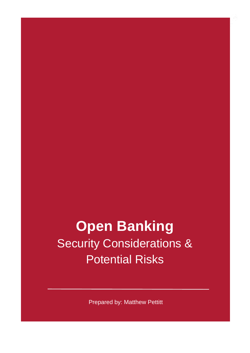### **Open Banking Security Considerations &** Potential Risks

Prepared by: Matthew Pettitt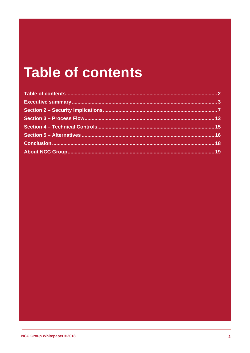### **Table of contents**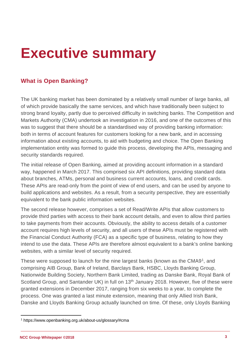### <span id="page-2-0"></span>**Executive summary**

### **What is Open Banking?**

The UK banking market has been dominated by a relatively small number of large banks, all of which provide basically the same services, and which have traditionally been subject to strong brand loyalty, partly due to perceived difficulty in switching banks. The Competition and Markets Authority (CMA) undertook an investigation in 2016, and one of the outcomes of this was to suggest that there should be a standardised way of providing banking information: both in terms of account features for customers looking for a new bank, and in accessing information about existing accounts, to aid with budgeting and choice. The Open Banking implementation entity was formed to guide this process, developing the APIs, messaging and security standards required.

The initial release of Open Banking, aimed at providing account information in a standard way, happened in March 2017. This comprised six API definitions, providing standard data about branches, ATMs, personal and business current accounts, loans, and credit cards. These APIs are read-only from the point of view of end users, and can be used by anyone to build applications and websites. As a result, from a security perspective, they are essentially equivalent to the bank public information websites.

The second release however, comprises a set of Read/Write APIs that allow customers to provide third parties with access to their bank account details, and even to allow third parties to take payments from their accounts. Obviously, the ability to access details of a customer account requires high levels of security, and all users of these APIs must be registered with the Financial Conduct Authority (FCA) as a specific type of business, relating to how they intend to use the data. These APIs are therefore almost equivalent to a bank's online banking websites, with a similar level of security required.

These were supposed to launch for the nine largest banks (known as the CMA9[1,](#page-2-1) and comprising AIB Group, Bank of Ireland, Barclays Bank, HSBC, Lloyds Banking Group, Nationwide Building Society, Northern Bank Limited, trading as Danske Bank, Royal Bank of Scotland Group, and Santander UK) in full on 13<sup>th</sup> January 2018. However, five of these were granted extensions in December 2017, ranging from six weeks to a year, to complete the process. One was granted a last minute extension, meaning that only Allied Irish Bank, Danske and Lloyds Banking Group actually launched on time. Of these, only Lloyds Banking

<span id="page-2-1"></span> $\ddot{\phantom{a}}$ <sup>1</sup> https://www.openbanking.org.uk/about-us/glossary/#cma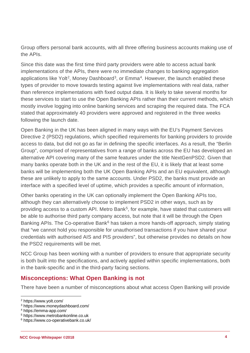Group offers personal bank accounts, with all three offering business accounts making use of the APIs.

Since this date was the first time third party providers were able to access actual bank implementations of the APIs, there were no immediate changes to banking aggregation applications like Yolt<sup>2</sup>, Money Dashboard<sup>3</sup>, or Emma<sup>[4](#page-3-2)</sup>. However, the launch enabled these types of provider to move towards testing against live implementations with real data, rather than reference implementations with fixed output data. It is likely to take several months for these services to start to use the Open Banking APIs rather than their current methods, which mostly involve logging into online banking services and scraping the required data. The FCA stated that approximately 40 providers were approved and registered in the three weeks following the launch date.

Open Banking in the UK has been aligned in many ways with the EU's Payment Services Directive 2 (PSD2) regulations, which specified requirements for banking providers to provide access to data, but did not go as far in defining the specific interfaces. As a result, the "Berlin Group", comprised of representatives from a range of banks across the EU has developed an alternative API covering many of the same features under the title NextGenPSD2. Given that many banks operate both in the UK and in the rest of the EU, it is likely that at least some banks will be implementing both the UK Open Banking APIs and an EU equivalent, although these are unlikely to apply to the same accounts. Under PSD2, the banks must provide an interface with a specified level of uptime, which provides a specific amount of information,

Other banks operating in the UK can optionally implement the Open Banking APIs too, although they can alternatively choose to implement PSD2 in other ways, such as by providing access to a custom API. Metro Bank<sup>[5](#page-3-3)</sup>, for example, have stated that customers will be able to authorise third party company access, but note that it will be through the Open Banking APIs. The Co-operative Bank<sup>[6](#page-3-4)</sup> has taken a more hands-off approach, simply stating that "we cannot hold you responsible for unauthorised transactions if you have shared your credentials with authorised AIS and PIS providers", but otherwise provides no details on how the PSD2 requirements will be met.

NCC Group has been working with a number of providers to ensure that appropriate security is both built into the specifications, and actively applied within specific implementations, both in the bank-specific and in the third-party facing sections.

#### **Misconceptions: What Open Banking is not**

There have been a number of misconceptions about what access Open Banking will provide

 $\overline{a}$ <sup>2</sup> https://www.yolt.com/

<span id="page-3-1"></span><span id="page-3-0"></span><sup>3</sup> https://www.moneydashboard.com/

<span id="page-3-2"></span><sup>4</sup> https://emma-app.com/

<span id="page-3-3"></span><sup>5</sup> https://www.metrobankonline.co.uk

<span id="page-3-4"></span><sup>6</sup> https://www.co-operativebank.co.uk/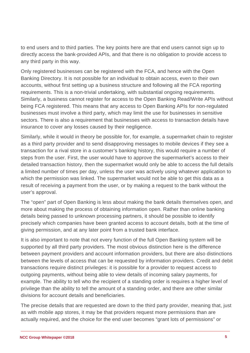to end users and to third parties. The key points here are that end users cannot sign up to directly access the bank-provided APIs, and that there is no obligation to provide access to any third party in this way.

Only registered businesses can be registered with the FCA, and hence with the Open Banking Directory. It is not possible for an individual to obtain access, even to their own accounts, without first setting up a business structure and following all the FCA reporting requirements. This is a non-trivial undertaking, with substantial ongoing requirements. Similarly, a business cannot register for access to the Open Banking Read/Write APIs without being FCA registered. This means that any access to Open Banking APIs for non-regulated businesses must involve a third party, which may limit the use for businesses in sensitive sectors. There is also a requirement that businesses with access to transaction details have insurance to cover any losses caused by their negligence.

Similarly, while it would in theory be possible for, for example, a supermarket chain to register as a third party provider and to send disapproving messages to mobile devices if they see a transaction for a rival store in a customer's banking history, this would require a number of steps from the user. First, the user would have to approve the supermarket's access to their detailed transaction history, then the supermarket would only be able to access the full details a limited number of times per day, unless the user was actively using whatever application to which the permission was linked. The supermarket would not be able to get this data as a result of receiving a payment from the user, or by making a request to the bank without the user's approval.

The "open" part of Open Banking is less about making the bank details themselves open, and more about making the process of obtaining information open. Rather than online banking details being passed to unknown processing partners, it should be possible to identify precisely which companies have been granted access to account details, both at the time of giving permission, and at any later point from a trusted bank interface.

It is also important to note that not every function of the full Open Banking system will be supported by all third party providers. The most obvious distinction here is the difference between payment providers and account information providers, but there are also distinctions between the levels of access that can be requested by information providers. Credit and debit transactions require distinct privileges: it is possible for a provider to request access to outgoing payments, without being able to view details of incoming salary payments, for example. The ability to tell who the recipient of a standing order is requires a higher level of privilege than the ability to tell the amount of a standing order, and there are other similar divisions for account details and beneficiaries.

The precise details that are requested are down to the third party provider, meaning that, just as with mobile app stores, it may be that providers request more permissions than are actually required, and the choice for the end user becomes "grant lots of permissions" or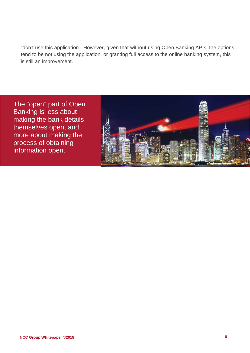"don't use this application". However, given that without using Open Banking APIs, the options tend to be not using the application, or granting full access to the online banking system, this is still an improvement.

The "open" part of Open Banking is less about making the bank details themselves open, and more about making the process of obtaining information open.

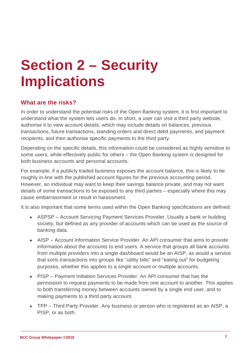# <span id="page-6-0"></span>**Section 2 – Security Implications**

#### **What are the risks?**

In order to understand the potential risks of the Open Banking system, it is first important to understand what the system lets users do. In short, a user can visit a third party website, authorise it to view account details, which may include details on balances, previous transactions, future transactions, standing orders and direct debit payments, and payment recipients, and then authorise specific payments to the third party.

Depending on the specific details, this information could be considered as highly sensitive to some users, while effectively public for others – the Open Banking system is designed for both business accounts and personal accounts.

For example, if a publicly traded business exposes the account balance, this is likely to be roughly in-line with the published account figures for the previous accounting period. However, an individual may want to keep their savings balance private, and may not want details of some transactions to be exposed to any third parties – especially where this may cause embarrassment or result in harassment.

It is also important that some terms used within the Open Banking specifications are defined:

- ASPSP Account Servicing Payment Services Provider. Usually a bank or building society, but defined as any provider of accounts which can be used as the source of banking data.
- AISP Account Information Service Provider. An API consumer that aims to provide information about the accounts to end users. A service that groups all bank accounts from multiple providers into a single dashboard would be an AISP, as would a service that sorts transactions into groups like "utility bills" and "eating out" for budgeting purposes, whether this applies to a single account or multiple accounts.
- PISP Payment Initiation Services Provider. An API consumer that has the permission to request payments to be made from one account to another. This applies to both transferring money between accounts owned by a single end user, and to making payments to a third party account.
- TPP Third Party Provider. Any business or person who is registered as an AISP, a PISP, or as both.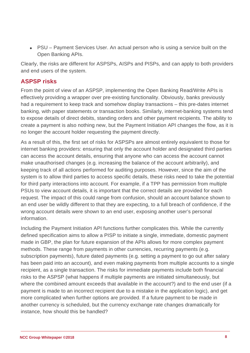• PSU – Payment Services User. An actual person who is using a service built on the Open Banking APIs.

Clearly, the risks are different for ASPSPs, AISPs and PISPs, and can apply to both providers and end users of the system.

#### **ASPSP risks**

From the point of view of an ASPSP, implementing the Open Banking Read/Write APIs is effectively providing a wrapper over pre-existing functionality. Obviously, banks previously had a requirement to keep track and somehow display transactions – this pre-dates internet banking, with paper statements or transaction books. Similarly, internet-banking systems tend to expose details of direct debits, standing orders and other payment recipients. The ability to create a payment is also nothing new, but the Payment Initiation API changes the flow, as it is no longer the account holder requesting the payment directly.

As a result of this, the first set of risks for ASPSPs are almost entirely equivalent to those for internet banking providers: ensuring that only the account holder and designated third parties can access the account details, ensuring that anyone who can access the account cannot make unauthorised changes (e.g. increasing the balance of the account arbitrarily), and keeping track of all actions performed for auditing purposes. However, since the aim of the system is to allow third parties to access specific details, these risks need to take the potential for third party interactions into account. For example, if a TPP has permission from multiple PSUs to view account details, it is important that the correct details are provided for each request. The impact of this could range from confusion, should an account balance shown to an end user be wildly different to that they are expecting, to a full breach of confidence, if the wrong account details were shown to an end user, exposing another user's personal information.

Including the Payment Initiation API functions further complicates this. While the currently defined specification aims to allow a PISP to initiate a single, immediate, domestic payment made in GBP, the plan for future expansion of the APIs allows for more complex payment methods. These range from payments in other currencies, recurring payments (e.g. subscription payments), future dated payments (e.g. setting a payment to go out after salary has been paid into an account), and even making payments from multiple accounts to a single recipient, as a single transaction. The risks for immediate payments include both financial risks to the ASPSP (what happens if multiple payments are initiated simultaneously, but where the combined amount exceeds that available in the account?) and to the end user (if a payment is made to an incorrect recipient due to a mistake in the application logic), and get more complicated when further options are provided. If a future payment to be made in another currency is scheduled, but the currency exchange rate changes dramatically for instance, how should this be handled?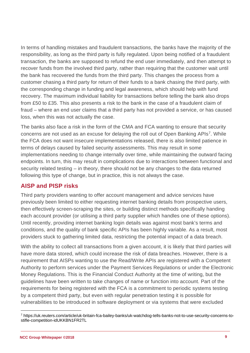In terms of handling mistakes and fraudulent transactions, the banks have the majority of the responsibility, as long as the third party is fully regulated. Upon being notified of a fraudulent transaction, the banks are supposed to refund the end user immediately, and then attempt to recover funds from the involved third party, rather than requiring that the customer wait until the bank has recovered the funds from the third party. This changes the process from a customer chasing a third party for return of their funds to a bank chasing the third party, with the corresponding change in funding and legal awareness, which should help with fund recovery. The maximum individual liability for transactions before telling the bank also drops from £50 to £35. This also presents a risk to the bank in the case of a fraudulent claim of fraud – where an end user claims that a third party has not provided a service, or has caused loss, when this was not actually the case.

The banks also face a risk in the form of the CMA and FCA wanting to ensure that security concerns are not used as an excuse for delaving the roll out of Open Banking APIs<sup>7</sup>. While the FCA does not want insecure implementations released, there is also limited patience in terms of delays caused by failed security assessments. This may result in some implementations needing to change internally over time, while maintaining the outward facing endpoints. In turn, this may result in complications due to interactions between functional and security related testing – in theory, there should not be any changes to the data returned following this type of change, but in practice, this is not always the case.

#### **AISP and PISP risks**

Third party providers wanting to offer account management and advice services have previously been limited to either requesting internet banking details from prospective users, then effectively screen-scraping the sites, or building distinct methods specifically handing each account provider (or utilising a third party supplier which handles one of these options). Until recently, providing internet banking login details was against most bank's terms and conditions, and the quality of bank specific APIs has been highly variable. As a result, most providers stuck to gathering limited data, restricting the potential impact of a data breach.

With the ability to collect all transactions from a given account, it is likely that third parties will have more data stored, which could increase the risk of data breaches. However, there is a requirement that AISPs wanting to use the Read/Write APIs are registered with a Competent Authority to perform services under the Payment Services Regulations or under the Electronic Money Regulations. This is the Financial Conduct Authority at the time of writing, but the guidelines have been written to take changes of name or function into account. Part of the requirements for being registered with the FCA is a commitment to periodic systems testing by a competent third party, but even with regular penetration testing it is possible for vulnerabilities to be introduced in software deployment or via systems that were excluded

<span id="page-8-0"></span> $\overline{a}$ <sup>7</sup> https://uk.reuters.com/article/uk-britain-fca-bailey-banks/uk-watchdog-tells-banks-not-to-use-security-concerns-tostifle-competition-idUKKBN1FR2TL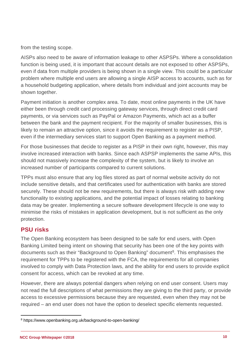from the testing scope.

AISPs also need to be aware of information leakage to other ASPSPs. Where a consolidation function is being used, it is important that account details are not exposed to other ASPSPs, even if data from multiple providers is being shown in a single view. This could be a particular problem where multiple end users are allowing a single AISP access to accounts, such as for a household budgeting application, where details from individual and joint accounts may be shown together.

Payment initiation is another complex area. To date, most online payments in the UK have either been through credit card processing gateway services, through direct credit card payments, or via services such as PayPal or Amazon Payments, which act as a buffer between the bank and the payment recipient. For the majority of smaller businesses, this is likely to remain an attractive option, since it avoids the requirement to register as a PISP, even if the intermediary services start to support Open Banking as a payment method.

For those businesses that decide to register as a PISP in their own right, however, this may involve increased interaction with banks. Since each ASPSP implements the same APIs, this should not massively increase the complexity of the system, but is likely to involve an increased number of participants compared to current solutions.

TPPs must also ensure that any log files stored as part of normal website activity do not include sensitive details, and that certificates used for authentication with banks are stored securely. These should not be new requirements, but there is always risk with adding new functionality to existing applications, and the potential impact of losses relating to banking data may be greater. Implementing a secure software development lifecycle is one way to minimise the risks of mistakes in application development, but is not sufficient as the only protection.

#### **PSU risks**

The Open Banking ecosystem has been designed to be safe for end users, with Open Banking Limited being intent on showing that security has been one of the key points with documents such as their "Background to Open Banking" document<sup>8</sup>. This emphasises the requirement for TPPs to be registered with the FCA, the requirements for all companies involved to comply with Data Protection laws, and the ability for end users to provide explicit consent for access, which can be revoked at any time.

However, there are always potential dangers when relying on end user consent. Users may not read the full descriptions of what permissions they are giving to the third party, or provide access to excessive permissions because they are requested, even when they may not be required – an end user does not have the option to deselect specific elements requested.

<span id="page-9-0"></span> $\ddot{\phantom{a}}$ <sup>8</sup> https://www.openbanking.org.uk/background-to-open-banking/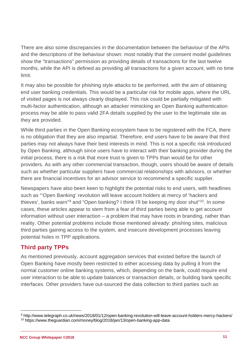There are also some discrepancies in the documentation between the behaviour of the APIs and the descriptions of the behaviour shown: most notably that the consent model guidelines show the "transactions" permission as providing details of transactions for the last twelve months, while the API is defined as providing all transactions for a given account, with no time limit.

It may also be possible for phishing style attacks to be performed, with the aim of obtaining end user banking credentials. This would be a particular risk for mobile apps, where the URL of visited pages is not always clearly displayed. This risk could be partially mitigated with multi-factor authentication, although an attacker mimicking an Open Banking authentication process may be able to pass valid 2FA details supplied by the user to the legitimate site as they are provided.

While third parties in the Open Banking ecosystem have to be registered with the FCA, there is no obligation that they are also impartial. Therefore, end users have to be aware that third parties may not always have their best interests in mind. This is not a specific risk introduced by Open Banking, although since users have to interact with their banking provider during the initial process, there is a risk that more trust is given to TPPs than would be for other providers. As with any other commercial transaction, though, users should be aware of details such as whether particular suppliers have commercial relationships with advisors, or whether there are financial incentives for an advisor service to recommend a specific supplier.

Newspapers have also been keen to highlight the potential risks to end users, with headlines such as "'Open Banking' revolution will leave account holders at mercy of 'hackers and thieves', banks warn"[9](#page-10-0) and "Open banking? I think I'll be keeping my door shut"[10](#page-10-1). In some cases, these articles appear to stem from a fear of third parties being able to get account information without user interaction – a problem that may have roots in branding, rather than reality. Other potential problems include those mentioned already: phishing sites, malicious third parties gaining access to the system, and insecure development processes leaving potential holes in TPP applications.

#### **Third party TPPs**

As mentioned previously, account aggregation services that existed before the launch of Open Banking have mostly been restricted to either accessing data by pulling it from the normal customer online banking systems, which, depending on the bank, could require end user interaction to be able to update balances or transaction details, or building bank specific interfaces. Other providers have out-sourced the data collection to third parties such as

<span id="page-10-1"></span><span id="page-10-0"></span> $\overline{a}$ <sup>9</sup> http://www.telegraph.co.uk/news/2018/01/12/open-banking-revolution-will-leave-account-holders-mercy-hackers/ <sup>10</sup> https://www.theguardian.com/money/blog/2018/jan/13/open-banking-app-data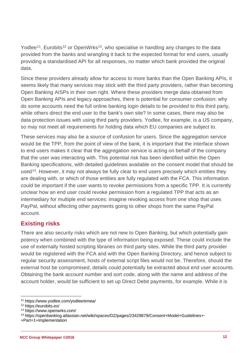Yodlee<sup>11</sup>, Eurobits<sup>[12](#page-11-1)</sup> or OpenWrks<sup>13</sup>, who specialise in handling any changes to the data provided from the banks and wrangling it back to the expected format for end users, usually providing a standardised API for all responses, no matter which bank provided the original data.

Since these providers already allow for access to more banks than the Open Banking APIs, it seems likely that many services may stick with the third party providers, rather than becoming Open Banking AISPs in their own right. Where these providers merge data obtained from Open Banking APIs and legacy approaches, there is potential for consumer confusion: why do some accounts need the full online banking login details to be provided to this third party, while others direct the end user to the bank's own site? In some cases, there may also be data protection issues with using third party providers. Yodlee, for example, is a US company, so may not meet all requirements for holding data which EU companies are subject to.

These services may also be a source of confusion for users. Since the aggregation service would be the TPP, from the point of view of the bank, it is important that the interface shown to end users makes it clear that the aggregation service is acting on behalf of the company that the user was interacting with. This potential risk has been identified within the Open Banking specifications, with detailed guidelines available on the consent model that should be used<sup>[14](#page-11-3)</sup>. However, it may not always be fully clear to end users precisely which entities they are dealing with, or which of those entities are fully regulated with the FCA. This information could be important if the user wants to revoke permissions from a specific TPP. It is currently unclear how an end user could revoke permission from a regulated TPP that acts as an intermediary for multiple end services: imagine revoking access from one shop that uses PayPal, without affecting other payments going to other shops from the same PayPal account.

#### **Existing risks**

There are also security risks which are not new to Open Banking, but which potentially gain potency when combined with the type of information being exposed. These could include the use of externally hosted scripting libraries on third party sites. While the third party provider would be registered with the FCA and with the Open Banking Directory, and hence subject to regular security assessment, hosts of external script files would not be. Therefore, should the external host be compromised, details could potentially be extracted about end user accounts. Obtaining the bank account number and sort code, along with the name and address of the account holder, would be sufficient to set up Direct Debit payments, for example. While it is

 $\overline{a}$ <sup>11</sup> https://www.yodlee.com/yodlee/emea/

<span id="page-11-1"></span><span id="page-11-0"></span><sup>12</sup> https://eurobits.es/

<span id="page-11-2"></span><sup>13</sup> https://www.openwrks.com/

<span id="page-11-3"></span><sup>14</sup> https://openbanking.atlassian.net/wiki/spaces/DZ/pages/23429879/Consent+Model+Guidelines+-

<sup>+</sup>Part+1+Implementation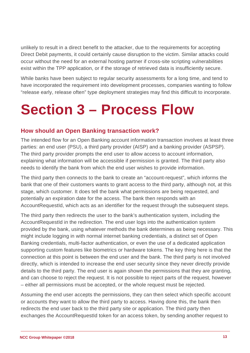unlikely to result in a direct benefit to the attacker, due to the requirements for accepting Direct Debit payments, it could certainly cause disruption to the victim. Similar attacks could occur without the need for an external hosting partner if cross-site scripting vulnerabilities exist within the TPP application, or if the storage of retrieved data is insufficiently secure.

While banks have been subject to regular security assessments for a long time, and tend to have incorporated the requirement into development processes, companies wanting to follow "release early, release often" type deployment strategies may find this difficult to incorporate.

### <span id="page-12-0"></span>**Section 3 – Process Flow**

#### **How should an Open Banking transaction work?**

The intended flow for an Open Banking account information transaction involves at least three parties: an end user (PSU), a third party provider (AISP) and a banking provider (ASPSP). The third party provider prompts the end user to allow access to account information, explaining what information will be accessible if permission is granted. The third party also needs to identify the bank from which the end user wishes to provide information.

The third party then connects to the bank to create an "account-request", which informs the bank that one of their customers wants to grant access to the third party, although not, at this stage, which customer. It does tell the bank what permissions are being requested, and potentially an expiration date for the access. The bank then responds with an AccountRequestId, which acts as an identifier for the request through the subsequent steps.

The third party then redirects the user to the bank's authentication system, including the AccountRequestId in the redirection. The end user logs into the authentication system provided by the bank, using whatever methods the bank determines as being necessary. This might include logging in with normal internet banking credentials, a distinct set of Open Banking credentials, multi-factor authentication, or even the use of a dedicated application supporting custom features like biometrics or hardware tokens. The key thing here is that the connection at this point is between the end user and the bank. The third party is not involved directly, which is intended to increase the end user security since they never directly provide details to the third party. The end user is again shown the permissions that they are granting, and can choose to reject the request. It is not possible to reject parts of the request, however – either all permissions must be accepted, or the whole request must be rejected.

Assuming the end user accepts the permissions, they can then select which specific account or accounts they want to allow the third party to access. Having done this, the bank then redirects the end user back to the third party site or application. The third party then exchanges the AccountRequestId token for an access token, by sending another request to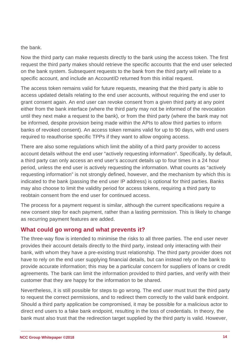#### the bank.

Now the third party can make requests directly to the bank using the access token. The first request the third party makes should retrieve the specific accounts that the end user selected on the bank system. Subsequent requests to the bank from the third party will relate to a specific account, and include an AccountID returned from this initial request.

The access token remains valid for future requests, meaning that the third party is able to access updated details relating to the end user accounts, without requiring the end user to grant consent again. An end user can revoke consent from a given third party at any point either from the bank interface (where the third party may not be informed of the revocation until they next make a request to the bank), or from the third party (where the bank may not be informed, despite provision being made within the APIs to allow third parties to inform banks of revoked consent). An access token remains valid for up to 90 days, with end users required to reauthorise specific TPPs if they want to allow ongoing access.

There are also some regulations which limit the ability of a third party provider to access account details without the end user "actively requesting information". Specifically, by default, a third party can only access an end user's account details up to four times in a 24 hour period, unless the end user is actively requesting the information. What counts as "actively requesting information" is not strongly defined, however, and the mechanism by which this is indicated to the bank (passing the end user IP address) is optional for third parties. Banks may also choose to limit the validity period for access tokens, requiring a third party to reobtain consent from the end user for continued access.

The process for a payment request is similar, although the current specifications require a new consent step for each payment, rather than a lasting permission. This is likely to change as recurring payment features are added.

#### **What could go wrong and what prevents it?**

The three-way flow is intended to minimise the risks to all three parties. The end user never provides their account details directly to the third party, instead only interacting with their bank, with whom they have a pre-existing trust relationship. The third party provider does not have to rely on the end user supplying financial details, but can instead rely on the bank to provide accurate information; this may be a particular concern for suppliers of loans or credit agreements. The bank can limit the information provided to third parties, and verify with their customer that they are happy for the information to be shared.

Nevertheless, it is still possible for steps to go wrong. The end user must trust the third party to request the correct permissions, and to redirect them correctly to the valid bank endpoint. Should a third party application be compromised, it may be possible for a malicious actor to direct end users to a fake bank endpoint, resulting in the loss of credentials. In theory, the bank must also trust that the redirection target supplied by the third party is valid. However,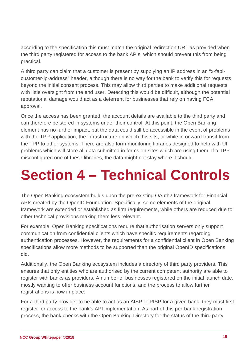according to the specification this must match the original redirection URL as provided when the third party registered for access to the bank APIs, which should prevent this from being practical.

A third party can claim that a customer is present by supplying an IP address in an "x-fapicustomer-ip-address" header, although there is no way for the bank to verify this for requests beyond the initial consent process. This may allow third parties to make additional requests, with little oversight from the end user. Detecting this would be difficult, although the potential reputational damage would act as a deterrent for businesses that rely on having FCA approval.

Once the access has been granted, the account details are available to the third party and can therefore be stored in systems under their control. At this point, the Open Banking element has no further impact, but the data could still be accessible in the event of problems with the TPP application, the infrastructure on which this sits, or while in onward transit from the TPP to other systems. There are also form-monitoring libraries designed to help with UI problems which will store all data submitted in forms on sites which are using them. If a TPP misconfigured one of these libraries, the data might not stay where it should.

# <span id="page-14-0"></span>**Section 4 – Technical Controls**

The Open Banking ecosystem builds upon the pre-existing OAuth2 framework for Financial APIs created by the OpenID Foundation. Specifically, some elements of the original framework are extended or established as firm requirements, while others are reduced due to other technical provisions making them less relevant.

For example, Open Banking specifications require that authorisation servers only support communication from confidential clients which have specific requirements regarding authentication processes. However, the requirements for a confidential client in Open Banking specifications allow more methods to be supported than the original OpenID specifications did.

Additionally, the Open Banking ecosystem includes a directory of third party providers. This ensures that only entities who are authorised by the current competent authority are able to register with banks as providers. A number of businesses registered on the initial launch date, mostly wanting to offer business account functions, and the process to allow further registrations is now in place.

For a third party provider to be able to act as an AISP or PISP for a given bank, they must first register for access to the bank's API implementation. As part of this per-bank registration process, the bank checks with the Open Banking Directory for the status of the third party.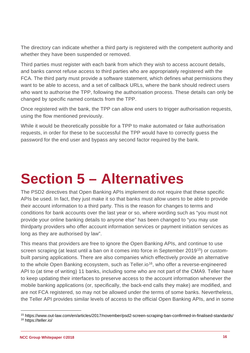The directory can indicate whether a third party is registered with the competent authority and whether they have been suspended or removed.

Third parties must register with each bank from which they wish to access account details, and banks cannot refuse access to third parties who are appropriately registered with the FCA. The third party must provide a software statement, which defines what permissions they want to be able to access, and a set of callback URLs, where the bank should redirect users who want to authorise the TPP, following the authorisation process. These details can only be changed by specific named contacts from the TPP.

Once registered with the bank, the TPP can allow end users to trigger authorisation requests, using the flow mentioned previously.

<span id="page-15-0"></span>While it would be theoretically possible for a TPP to make automated or fake authorisation requests, in order for these to be successful the TPP would have to correctly guess the password for the end user and bypass any second factor required by the bank.

## **Section 5 – Alternatives**

The PSD2 directives that Open Banking APIs implement do not require that these specific APIs be used. In fact, they just make it so that banks must allow users to be able to provide their account information to a third party. This is the reason for changes to terms and conditions for bank accounts over the last year or so, where wording such as "you must not provide your online banking details to anyone else" has been changed to "you may use thirdparty providers who offer account information services or payment initiation services as long as they are authorised by law".

This means that providers are free to ignore the Open Banking APIs, and continue to use screen scraping (at least until a ban on it comes into force in September 2019<sup>[15](#page-15-1)</sup>) or custombuilt parsing applications. There are also companies which effectively provide an alternative to the whole Open Banking ecosystem, such as Teller.io<sup>[16](#page-15-2)</sup>, who offer a reverse-engineered API to (at time of writing) 11 banks, including some who are not part of the CMA9. Teller have to keep updating their interfaces to preserve access to the account information whenever the mobile banking applications (or, specifically, the back-end calls they make) are modified, and are not FCA registered, so may not be allowed under the terms of some banks. Nevertheless, the Teller API provides similar levels of access to the official Open Banking APIs, and in some

<span id="page-15-2"></span><span id="page-15-1"></span> $\overline{a}$ <sup>15</sup> https://www.out-law.com/en/articles/2017/november/psd2-screen-scraping-ban-confirmed-in-finalised-standards/ <sup>16</sup> https://teller.io/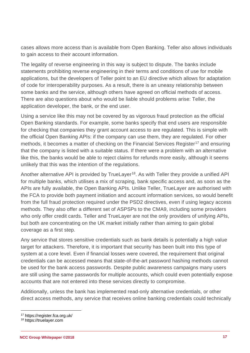cases allows more access than is available from Open Banking. Teller also allows individuals to gain access to their account information.

The legality of reverse engineering in this way is subject to dispute. The banks include statements prohibiting reverse engineering in their terms and conditions of use for mobile applications, but the developers of Teller point to an EU directive which allows for adaptation of code for interoperability purposes. As a result, there is an uneasy relationship between some banks and the service, although others have agreed on official methods of access. There are also questions about who would be liable should problems arise: Teller, the application developer, the bank, or the end user.

Using a service like this may not be covered by as vigorous fraud protection as the official Open Banking standards. For example, some banks specify that end users are responsible for checking that companies they grant account access to are regulated. This is simple with the official Open Banking APIs: if the company can use them, they are regulated. For other methods, it becomes a matter of checking on the Financial Services Register<sup>[17](#page-16-0)</sup> and ensuring that the company is listed with a suitable status. If there were a problem with an alternative like this, the banks would be able to reject claims for refunds more easily, although it seems unlikely that this was the intention of the regulations.

Another alternative API is provided by TrueLayer<sup>18</sup>. As with Teller they provide a unified API for multiple banks, which utilises a mix of scraping, bank specific access and, as soon as the APIs are fully available, the Open Banking APIs. Unlike Teller, TrueLayer are authorised with the FCA to provide both payment initiation and account information services, so would benefit from the full fraud protection required under the PSD2 directives, even if using legacy access methods. They also offer a different set of ASPSPs to the CMA9, including some providers who only offer credit cards. Teller and TrueLayer are not the only providers of unifying APIs, but both are concentrating on the UK market initially rather than aiming to gain global coverage as a first step.

Any service that stores sensitive credentials such as bank details is potentially a high value target for attackers. Therefore, it is important that security has been built into this type of system at a core level. Even if financial losses were covered, the requirement that original credentials can be accessed means that state-of-the-art password hashing methods cannot be used for the bank access passwords. Despite public awareness campaigns many users are still using the same passwords for multiple accounts, which could even potentially expose accounts that are not entered into these services directly to compromise.

Additionally, unless the bank has implemented read-only alternative credentials, or other direct access methods, any service that receives online banking credentials could technically

 $\overline{a}$ <sup>17</sup> https://register.fca.org.uk/

<span id="page-16-1"></span><span id="page-16-0"></span><sup>18</sup> https://truelayer.com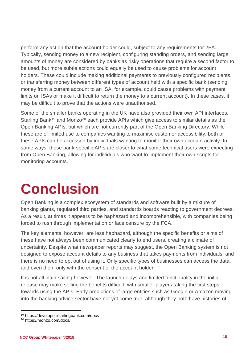perform any action that the account holder could, subject to any requirements for 2FA. Typically, sending money to a new recipient, configuring standing orders, and sending large amounts of money are considered by banks as risky operations that require a second factor to be used, but more subtle actions could equally be used to cause problems for account holders. These could include making additional payments to previously configured recipients, or transferring money between different types of account held with a specific bank (sending money from a current account to an ISA, for example, could cause problems with payment limits on ISAs or make it difficult to return the money to a current account). In these cases, it may be difficult to prove that the actions were unauthorised.

Some of the smaller banks operating in the UK have also provided their own API interfaces. Starling Bank<sup>[19](#page-17-1)</sup> and Monzo<sup>[20](#page-17-2)</sup> each provide APIs which give access to similar details as the Open Banking APIs, but which are not currently part of the Open Banking Directory. While these are of limited use to companies wanting to maximise customer accessibility, both of these APIs can be accessed by individuals wanting to monitor their own account activity. In some ways, these bank-specific APIs are closer to what some technical users were expecting from Open Banking, allowing for individuals who want to implement their own scripts for monitoring accounts.

### <span id="page-17-0"></span>**Conclusion**

Open Banking is a complex ecosystem of standards and software built by a mixture of banking giants, regulated third parties, and standards boards reacting to government decrees. As a result, at times it appears to be haphazard and incomprehensible, with companies being forced to rush through implementation or face censure by the FCA.

The key elements, however, are less haphazard, although the specific benefits or aims of these have not always been communicated clearly to end users, creating a climate of uncertainty. Despite what newspaper reports may suggest, the Open Banking system is not designed to expose account details to any business that takes payments from individuals, and there is no need to opt out of using it. Only specific types of businesses can access the data, and even then, only with the consent of the account holder.

It is not all plain sailing however. The launch delays and limited functionality in the initial release may make selling the benefits difficult, with smaller players taking the first steps towards using the APIs. Early predictions of large entities such as Google or Amazon moving into the banking advice sector have not yet come true, although they both have histories of

 $\overline{a}$ 

<span id="page-17-1"></span><sup>19</sup> https://developer.starlingbank.com/docs

<span id="page-17-2"></span><sup>20</sup> https://monzo.com/docs/